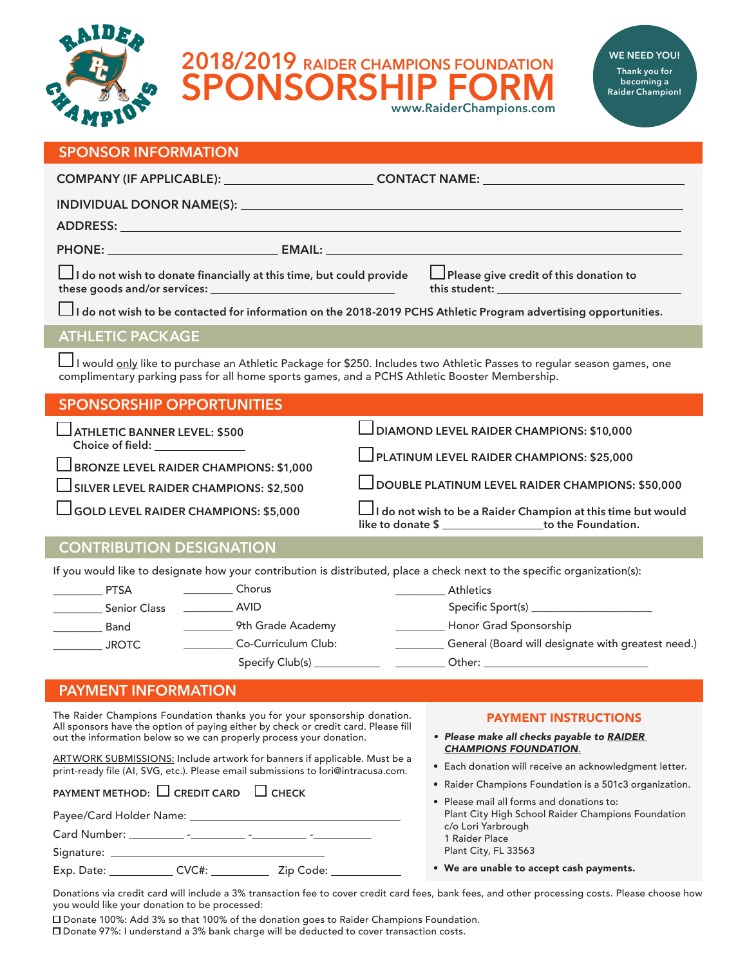

**2018/2019** RAIDER CHAMPIONS FOUNDATION WE NEED YOU! **SORSHI www.RaiderChampions.com**



## **SPONSOR INFORMATION**

| COMPANY (IF APPLICABLE): ___________________________CONTACT NAME: _______________                                        |  |
|--------------------------------------------------------------------------------------------------------------------------|--|
|                                                                                                                          |  |
|                                                                                                                          |  |
|                                                                                                                          |  |
| $\Box$ I do not wish to donate financially at this time, but could provide $\Box$ Please give credit of this donation to |  |
| $\Box$ I do not wish to be contacted for information on the 2018-2019 PCHS Athletic Program advertising opportunities.   |  |

## **ATHLETIC PACKAGE**

 I would only like to purchase an Athletic Package for \$250. Includes two Athletic Passes to regular season games, one complimentary parking pass for all home sports games, and a PCHS Athletic Booster Membership.

| <b>SPONSORSHIP OPPORTUNITIES</b>                                                                                                            |                                                                                                                          |
|---------------------------------------------------------------------------------------------------------------------------------------------|--------------------------------------------------------------------------------------------------------------------------|
| ATHLETIC BANNER LEVEL: \$500                                                                                                                | DIAMOND LEVEL RAIDER CHAMPIONS: \$10,000                                                                                 |
| Choice of field: <b>Choice of field</b> :<br><b>BRONZE LEVEL RAIDER CHAMPIONS: \$1,000</b><br>$\Box$ SILVER LEVEL RAIDER CHAMPIONS: \$2,500 | $\Box$ PLATINUM LEVEL RAIDER CHAMPIONS: \$25,000                                                                         |
|                                                                                                                                             | DOUBLE PLATINUM LEVEL RAIDER CHAMPIONS: \$50,000                                                                         |
| $\Box$ GOLD LEVEL RAIDER CHAMPIONS: \$5,000                                                                                                 | I do not wish to be a Raider Champion at this time but would<br>like to donate \$ ____________________to the Foundation. |
| CONITDIRI ITIONI DECICNATIONI                                                                                                               |                                                                                                                          |

# **CONTRIBUTION DESIGNATION**

If you would like to designate how your contribution is distributed, place a check next to the specific organization(s):

| <b>PTSA</b>         | Chorus              | <b>Athletics</b>                                   |
|---------------------|---------------------|----------------------------------------------------|
| <b>Senior Class</b> | <b>AVID</b>         | Specific Sport(s)                                  |
| Band                | 9th Grade Academy   | Honor Grad Sponsorship                             |
| <b>JROTC</b>        | Co-Curriculum Club: | General (Board will designate with greatest need.) |
|                     | Specify Club(s)     | Other:                                             |

# **PAYMENT INFORMATION**

The Raider Champions Foundation thanks you for your sponsorship donation. All sponsors have the option of paying either by check or credit card. Please fill out the information below so we can properly process your donation.

ARTWORK SUBMISSIONS: Include artwork for banners if applicable. Must be a print-ready file (AI, SVG, etc.). Please email submissions to lori@intracusa.com.

**PAYMENT METHOD:** □ CREDIT CARD □ CHECK

Payee/Card Holder Name:

Card Number: \_\_\_\_\_\_\_\_\_\_\_ -\_\_\_\_\_\_\_\_\_ -\_\_\_\_\_\_\_\_ -\_\_\_\_\_ -\_\_\_\_

Signature:

Exp. Date: \_\_\_\_\_\_\_\_\_\_\_\_\_ CVC#: \_\_\_\_\_\_\_\_\_\_\_\_\_ Zip Code: \_\_\_

#### PAYMENT INSTRUCTIONS

- *• Please make all checks payable to RAIDER CHAMPIONS FOUNDATION.*
- Each donation will receive an acknowledgment letter.
- Raider Champions Foundation is a 501c3 organization.

| • Please mail all forms and donations to:          |  |  |  |  |
|----------------------------------------------------|--|--|--|--|
| Plant City High School Raider Champions Foundation |  |  |  |  |
| c/o Lori Yarbrough                                 |  |  |  |  |
| 1 Raider Place                                     |  |  |  |  |
| Plant City, FL 33563                               |  |  |  |  |
|                                                    |  |  |  |  |

• We are unable to accept cash payments.

Donations via credit card will include a 3% transaction fee to cover credit card fees, bank fees, and other processing costs. Please choose how you would like your donation to be processed:

Donate 100%: Add 3% so that 100% of the donation goes to Raider Champions Foundation.

Donate 97%: I understand a 3% bank charge will be deducted to cover transaction costs.